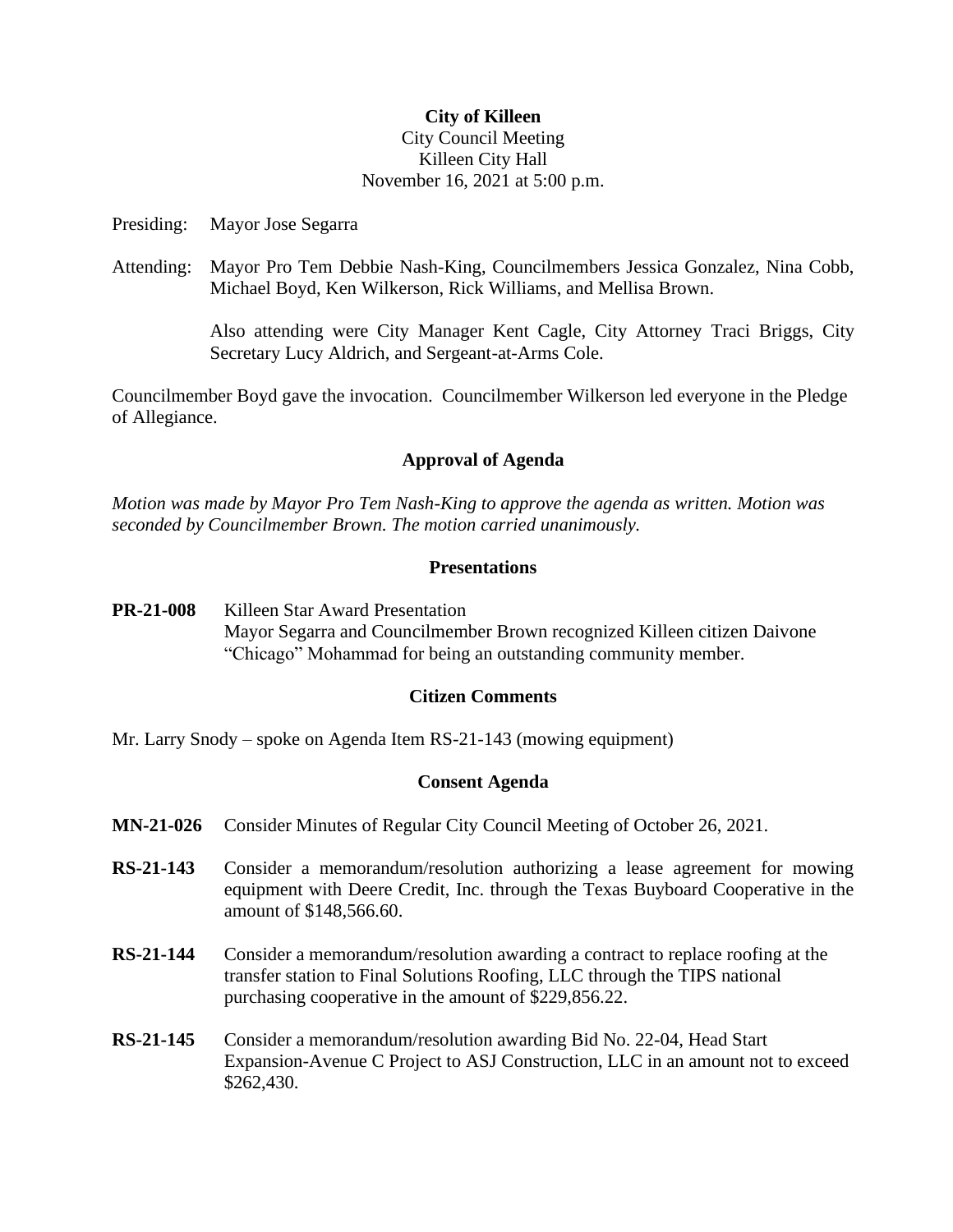## **City of Killeen**

## City Council Meeting Killeen City Hall November 16, 2021 at 5:00 p.m.

Presiding: Mayor Jose Segarra

Attending: Mayor Pro Tem Debbie Nash-King, Councilmembers Jessica Gonzalez, Nina Cobb, Michael Boyd, Ken Wilkerson, Rick Williams, and Mellisa Brown.

> Also attending were City Manager Kent Cagle, City Attorney Traci Briggs, City Secretary Lucy Aldrich, and Sergeant-at-Arms Cole.

Councilmember Boyd gave the invocation. Councilmember Wilkerson led everyone in the Pledge of Allegiance.

#### **Approval of Agenda**

*Motion was made by Mayor Pro Tem Nash-King to approve the agenda as written. Motion was seconded by Councilmember Brown. The motion carried unanimously.*

#### **Presentations**

**PR-21-008** Killeen Star Award Presentation Mayor Segarra and Councilmember Brown recognized Killeen citizen Daivone "Chicago" Mohammad for being an outstanding community member.

## **Citizen Comments**

Mr. Larry Snody – spoke on Agenda Item RS-21-143 (mowing equipment)

#### **Consent Agenda**

- **MN-21-026** Consider Minutes of Regular City Council Meeting of October 26, 2021.
- **RS-21-143** Consider a memorandum/resolution authorizing a lease agreement for mowing equipment with Deere Credit, Inc. through the Texas Buyboard Cooperative in the amount of \$148,566.60.
- **RS-21-144** Consider a memorandum/resolution awarding a contract to replace roofing at the transfer station to Final Solutions Roofing, LLC through the TIPS national purchasing cooperative in the amount of \$229,856.22.
- **RS-21-145** Consider a memorandum/resolution awarding Bid No. 22-04, Head Start Expansion-Avenue C Project to ASJ Construction, LLC in an amount not to exceed \$262,430.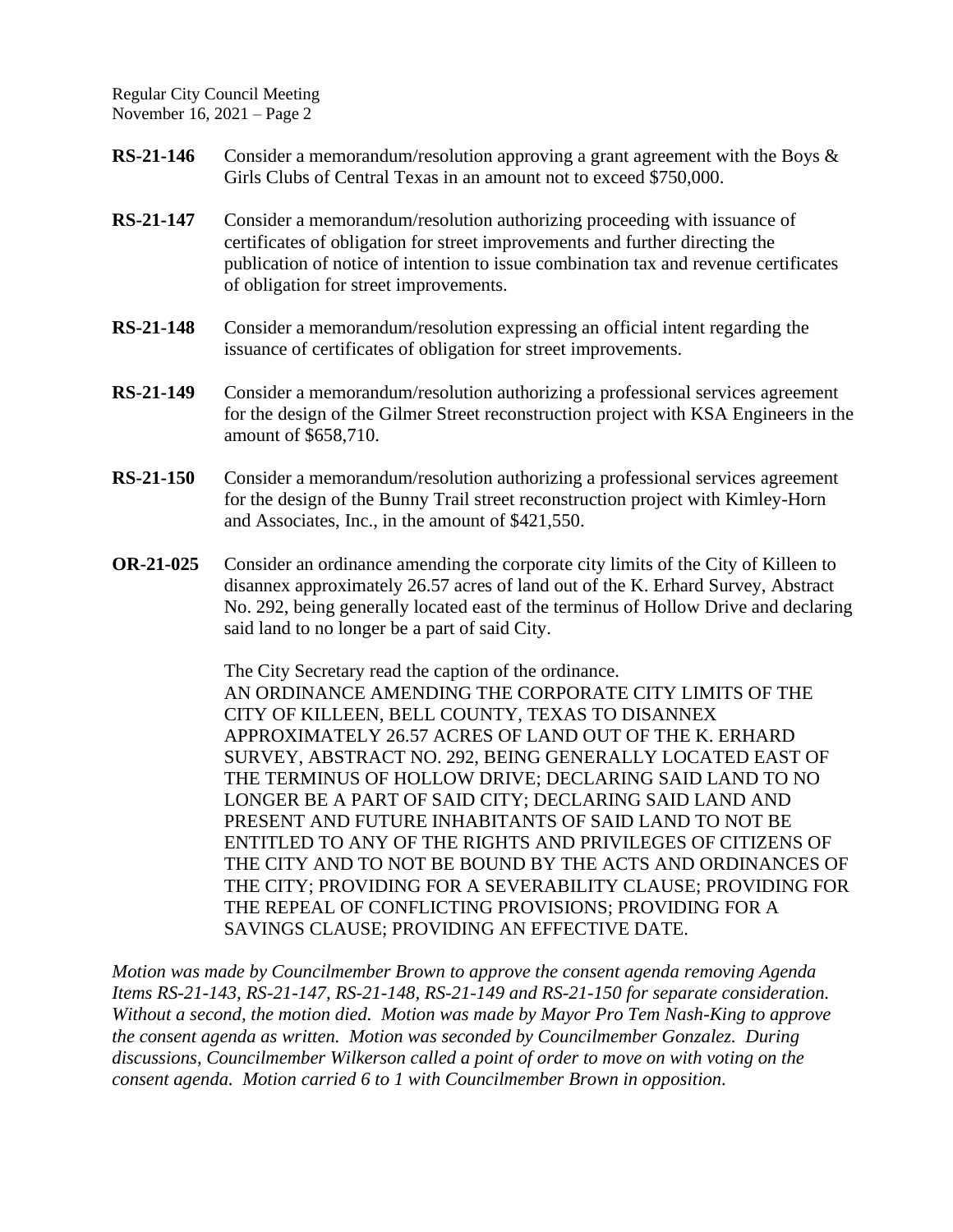Regular City Council Meeting November 16, 2021 – Page 2

- **RS-21-146** Consider a memorandum/resolution approving a grant agreement with the Boys & Girls Clubs of Central Texas in an amount not to exceed \$750,000.
- **RS-21-147** Consider a memorandum/resolution authorizing proceeding with issuance of certificates of obligation for street improvements and further directing the publication of notice of intention to issue combination tax and revenue certificates of obligation for street improvements.
- **RS-21-148** Consider a memorandum/resolution expressing an official intent regarding the issuance of certificates of obligation for street improvements.
- **RS-21-149** Consider a memorandum/resolution authorizing a professional services agreement for the design of the Gilmer Street reconstruction project with KSA Engineers in the amount of \$658,710.
- **RS-21-150** Consider a memorandum/resolution authorizing a professional services agreement for the design of the Bunny Trail street reconstruction project with Kimley-Horn and Associates, Inc., in the amount of \$421,550.
- **OR-21-025** Consider an ordinance amending the corporate city limits of the City of Killeen to disannex approximately 26.57 acres of land out of the K. Erhard Survey, Abstract No. 292, being generally located east of the terminus of Hollow Drive and declaring said land to no longer be a part of said City.

The City Secretary read the caption of the ordinance. AN ORDINANCE AMENDING THE CORPORATE CITY LIMITS OF THE CITY OF KILLEEN, BELL COUNTY, TEXAS TO DISANNEX APPROXIMATELY 26.57 ACRES OF LAND OUT OF THE K. ERHARD SURVEY, ABSTRACT NO. 292, BEING GENERALLY LOCATED EAST OF THE TERMINUS OF HOLLOW DRIVE; DECLARING SAID LAND TO NO LONGER BE A PART OF SAID CITY; DECLARING SAID LAND AND PRESENT AND FUTURE INHABITANTS OF SAID LAND TO NOT BE ENTITLED TO ANY OF THE RIGHTS AND PRIVILEGES OF CITIZENS OF THE CITY AND TO NOT BE BOUND BY THE ACTS AND ORDINANCES OF THE CITY; PROVIDING FOR A SEVERABILITY CLAUSE; PROVIDING FOR THE REPEAL OF CONFLICTING PROVISIONS; PROVIDING FOR A SAVINGS CLAUSE; PROVIDING AN EFFECTIVE DATE.

*Motion was made by Councilmember Brown to approve the consent agenda removing Agenda Items RS-21-143, RS-21-147, RS-21-148, RS-21-149 and RS-21-150 for separate consideration. Without a second, the motion died. Motion was made by Mayor Pro Tem Nash-King to approve the consent agenda as written. Motion was seconded by Councilmember Gonzalez. During discussions, Councilmember Wilkerson called a point of order to move on with voting on the consent agenda. Motion carried 6 to 1 with Councilmember Brown in opposition.*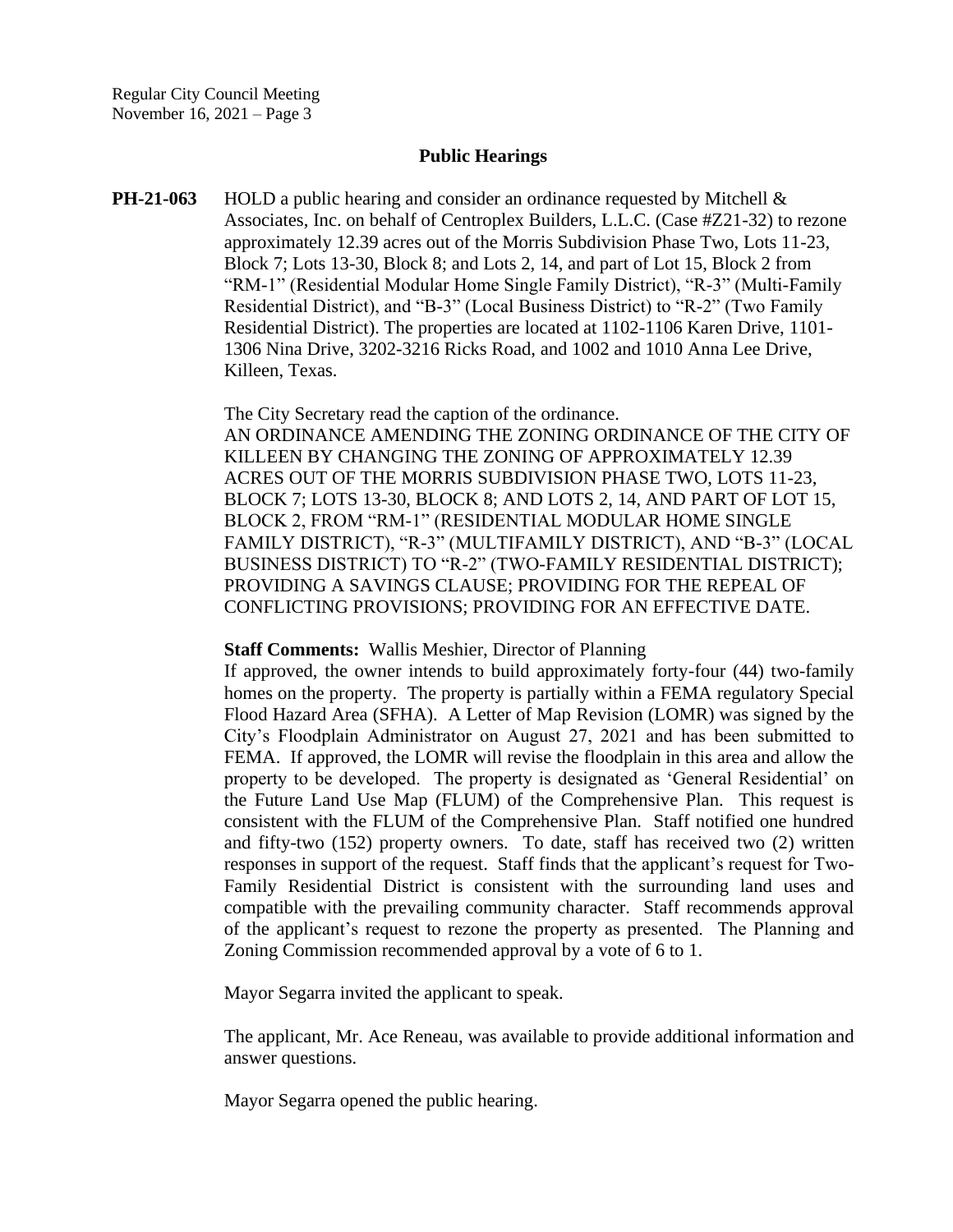### **Public Hearings**

**PH-21-063** HOLD a public hearing and consider an ordinance requested by Mitchell & Associates, Inc. on behalf of Centroplex Builders, L.L.C. (Case #Z21-32) to rezone approximately 12.39 acres out of the Morris Subdivision Phase Two, Lots 11-23, Block 7; Lots 13-30, Block 8; and Lots 2, 14, and part of Lot 15, Block 2 from "RM-1" (Residential Modular Home Single Family District), "R-3" (Multi-Family Residential District), and "B-3" (Local Business District) to "R-2" (Two Family Residential District). The properties are located at 1102-1106 Karen Drive, 1101- 1306 Nina Drive, 3202-3216 Ricks Road, and 1002 and 1010 Anna Lee Drive, Killeen, Texas.

> The City Secretary read the caption of the ordinance. AN ORDINANCE AMENDING THE ZONING ORDINANCE OF THE CITY OF KILLEEN BY CHANGING THE ZONING OF APPROXIMATELY 12.39 ACRES OUT OF THE MORRIS SUBDIVISION PHASE TWO, LOTS 11-23, BLOCK 7; LOTS 13-30, BLOCK 8; AND LOTS 2, 14, AND PART OF LOT 15, BLOCK 2, FROM "RM-1" (RESIDENTIAL MODULAR HOME SINGLE FAMILY DISTRICT), "R-3" (MULTIFAMILY DISTRICT), AND "B-3" (LOCAL BUSINESS DISTRICT) TO "R-2" (TWO-FAMILY RESIDENTIAL DISTRICT); PROVIDING A SAVINGS CLAUSE; PROVIDING FOR THE REPEAL OF CONFLICTING PROVISIONS; PROVIDING FOR AN EFFECTIVE DATE.

#### **Staff Comments:** Wallis Meshier, Director of Planning

If approved, the owner intends to build approximately forty-four (44) two-family homes on the property. The property is partially within a FEMA regulatory Special Flood Hazard Area (SFHA). A Letter of Map Revision (LOMR) was signed by the City's Floodplain Administrator on August 27, 2021 and has been submitted to FEMA. If approved, the LOMR will revise the floodplain in this area and allow the property to be developed. The property is designated as 'General Residential' on the Future Land Use Map (FLUM) of the Comprehensive Plan. This request is consistent with the FLUM of the Comprehensive Plan. Staff notified one hundred and fifty-two (152) property owners. To date, staff has received two (2) written responses in support of the request. Staff finds that the applicant's request for Two-Family Residential District is consistent with the surrounding land uses and compatible with the prevailing community character. Staff recommends approval of the applicant's request to rezone the property as presented. The Planning and Zoning Commission recommended approval by a vote of 6 to 1.

Mayor Segarra invited the applicant to speak.

The applicant, Mr. Ace Reneau, was available to provide additional information and answer questions.

Mayor Segarra opened the public hearing.